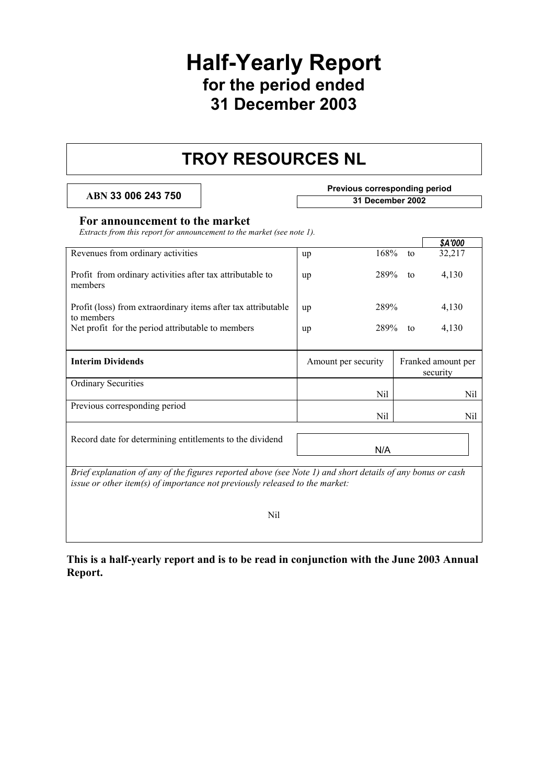## **Half-Yearly Report for the period ended 31 December 2003**

## **TROY RESOURCES NL**

**ABN 33 006 243 750** 

| <b>Previous corresponding period</b> |  |
|--------------------------------------|--|
| 31 December 2002                     |  |

#### **For announcement to the market**

*Extracts from this report for announcement to the market (see note 1).* 

|                                                                                                                                                                                           |                     |    | \$A'000                        |  |
|-------------------------------------------------------------------------------------------------------------------------------------------------------------------------------------------|---------------------|----|--------------------------------|--|
| Revenues from ordinary activities                                                                                                                                                         | 168%<br>up          | to | 32,217                         |  |
| Profit from ordinary activities after tax attributable to<br>members                                                                                                                      | 289%<br>up          | to | 4,130                          |  |
| Profit (loss) from extraordinary items after tax attributable<br>to members                                                                                                               | 289%<br>up          |    | 4,130                          |  |
| Net profit for the period attributable to members                                                                                                                                         | 289%<br>up          | to | 4,130                          |  |
| <b>Interim Dividends</b>                                                                                                                                                                  | Amount per security |    | Franked amount per<br>security |  |
| <b>Ordinary Securities</b>                                                                                                                                                                | Nil                 |    | Nil                            |  |
| Previous corresponding period                                                                                                                                                             | Nil                 |    | Nil                            |  |
| Record date for determining entitlements to the dividend                                                                                                                                  | N/A                 |    |                                |  |
| Brief explanation of any of the figures reported above (see Note 1) and short details of any bonus or cash<br>issue or other item(s) of importance not previously released to the market: |                     |    |                                |  |

Nil

**This is a half-yearly report and is to be read in conjunction with the June 2003 Annual Report.**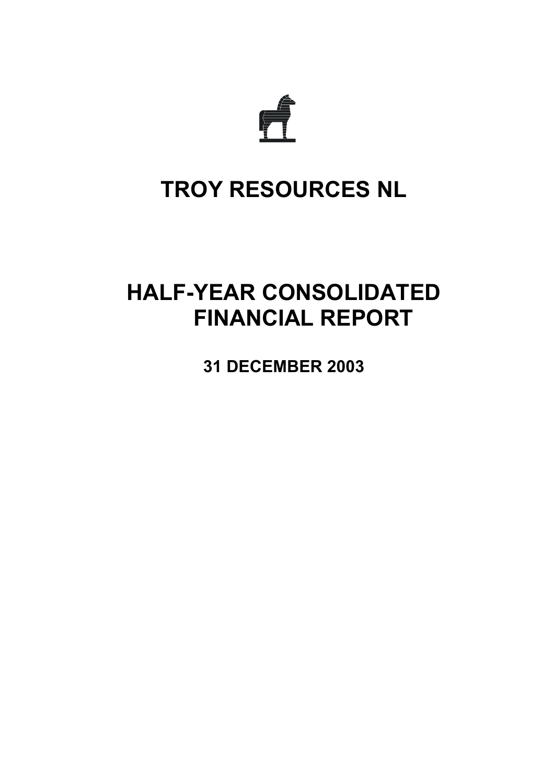

# **TROY RESOURCES NL**

# **HALF-YEAR CONSOLIDATED FINANCIAL REPORT**

**31 DECEMBER 2003**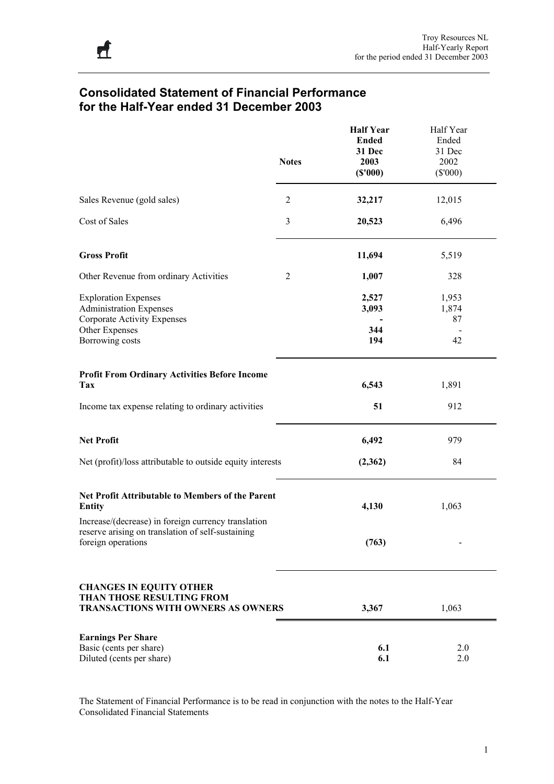## **Consolidated Statement of Financial Performance for the Half-Year ended 31 December 2003**

|                                                                                                                                | <b>Notes</b>   | <b>Half Year</b><br><b>Ended</b><br>31 Dec<br>2003<br>(S'000) | Half Year<br>Ended<br>31 Dec<br>2002<br>$(\$'000)$ |
|--------------------------------------------------------------------------------------------------------------------------------|----------------|---------------------------------------------------------------|----------------------------------------------------|
| Sales Revenue (gold sales)                                                                                                     | $\overline{2}$ | 32,217                                                        | 12,015                                             |
| Cost of Sales                                                                                                                  | $\mathfrak{Z}$ | 20,523                                                        | 6,496                                              |
| <b>Gross Profit</b>                                                                                                            |                | 11,694                                                        | 5,519                                              |
| Other Revenue from ordinary Activities                                                                                         | $\overline{2}$ | 1,007                                                         | 328                                                |
| <b>Exploration Expenses</b><br><b>Administration Expenses</b><br><b>Corporate Activity Expenses</b>                            |                | 2,527<br>3,093                                                | 1,953<br>1,874<br>87                               |
| Other Expenses<br>Borrowing costs                                                                                              |                | 344<br>194                                                    | 42                                                 |
| <b>Profit From Ordinary Activities Before Income</b><br><b>Tax</b>                                                             |                | 6,543                                                         | 1,891                                              |
| Income tax expense relating to ordinary activities                                                                             |                | 51                                                            | 912                                                |
| <b>Net Profit</b>                                                                                                              |                | 6,492                                                         | 979                                                |
| Net (profit)/loss attributable to outside equity interests                                                                     |                | (2,362)                                                       | 84                                                 |
| Net Profit Attributable to Members of the Parent<br><b>Entity</b>                                                              |                | 4,130                                                         | 1,063                                              |
| Increase/(decrease) in foreign currency translation<br>reserve arising on translation of self-sustaining<br>foreign operations |                | (763)                                                         |                                                    |
| <b>CHANGES IN EQUITY OTHER</b><br><b>THAN THOSE RESULTING FROM</b><br><b>TRANSACTIONS WITH OWNERS AS OWNERS</b>                |                | 3,367                                                         | 1,063                                              |
| <b>Earnings Per Share</b><br>Basic (cents per share)<br>Diluted (cents per share)                                              |                | 6.1<br>6.1                                                    | 2.0<br>2.0                                         |

The Statement of Financial Performance is to be read in conjunction with the notes to the Half-Year Consolidated Financial Statements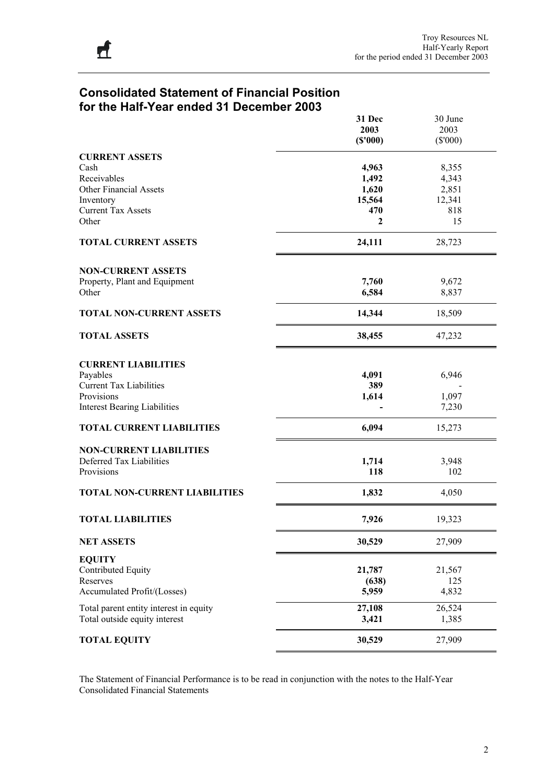## **Consolidated Statement of Financial Position for the Half-Year ended 31 December 2003**

|                                         | 31 Dec<br>2003 | 30 June<br>2003 |
|-----------------------------------------|----------------|-----------------|
|                                         | (S'000)        | $(\$'000)$      |
| <b>CURRENT ASSETS</b>                   |                |                 |
| Cash                                    | 4,963          | 8,355           |
| Receivables                             | 1,492          | 4,343           |
| <b>Other Financial Assets</b>           | 1,620          | 2,851           |
| Inventory<br><b>Current Tax Assets</b>  | 15,564<br>470  | 12,341<br>818   |
| Other                                   | 2              | 15              |
|                                         |                |                 |
| <b>TOTAL CURRENT ASSETS</b>             | 24,111         | 28,723          |
| <b>NON-CURRENT ASSETS</b>               |                |                 |
| Property, Plant and Equipment           | 7,760          | 9,672           |
| Other                                   | 6,584          | 8,837           |
| <b>TOTAL NON-CURRENT ASSETS</b>         | 14,344         | 18,509          |
| <b>TOTAL ASSETS</b>                     | 38,455         | 47,232          |
| <b>CURRENT LIABILITIES</b>              |                |                 |
| Payables                                | 4,091          | 6,946           |
| <b>Current Tax Liabilities</b>          | 389            |                 |
| Provisions                              | 1,614          | 1,097           |
| <b>Interest Bearing Liabilities</b>     |                | 7,230           |
| <b>TOTAL CURRENT LIABILITIES</b>        | 6,094          | 15,273          |
| <b>NON-CURRENT LIABILITIES</b>          |                |                 |
| Deferred Tax Liabilities                | 1,714          | 3,948           |
| Provisions                              | 118            | 102             |
| <b>TOTAL NON-CURRENT LIABILITIES</b>    | 1,832          | 4,050           |
| <b>TOTAL LIABILITIES</b>                | 7,926          | 19,323          |
| <b>NET ASSETS</b>                       | 30,529         | 27,909          |
| <b>EQUITY</b>                           |                |                 |
| Contributed Equity                      | 21,787         | 21,567          |
| Reserves<br>Accumulated Profit/(Losses) | (638)          | 125             |
|                                         | 5,959          | 4,832           |
| Total parent entity interest in equity  | 27,108         | 26,524          |
| Total outside equity interest           | 3,421          | 1,385           |
| <b>TOTAL EQUITY</b>                     | 30,529         | 27,909          |

The Statement of Financial Performance is to be read in conjunction with the notes to the Half-Year Consolidated Financial Statements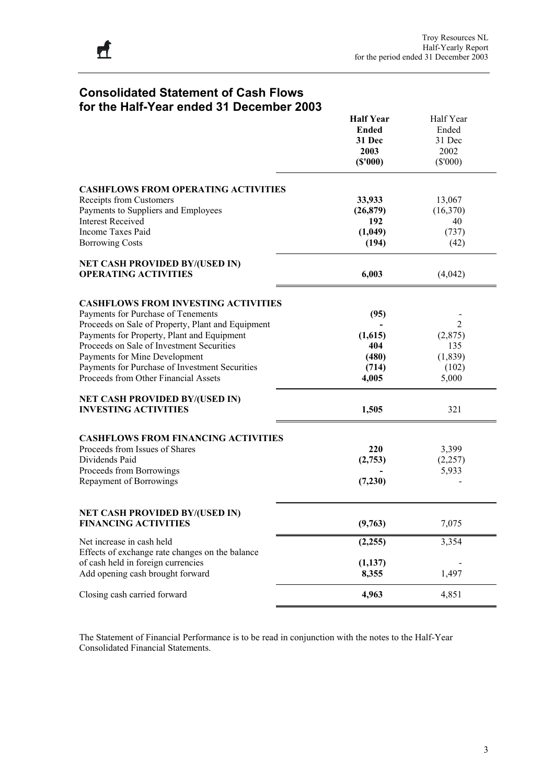## **Consolidated Statement of Cash Flows for the Half-Year ended 31 December 2003**

|                                                   | <b>Half Year</b> | Half Year      |
|---------------------------------------------------|------------------|----------------|
|                                                   | <b>Ended</b>     | Ended          |
|                                                   | 31 Dec           | 31 Dec         |
|                                                   | 2003             | 2002           |
|                                                   | (S'000)          | $(\$'000)$     |
|                                                   |                  |                |
| <b>CASHFLOWS FROM OPERATING ACTIVITIES</b>        |                  |                |
| Receipts from Customers                           | 33,933           | 13,067         |
| Payments to Suppliers and Employees               | (26, 879)        | (16,370)       |
| <b>Interest Received</b>                          | 192              | 40             |
| <b>Income Taxes Paid</b>                          | (1,049)          | (737)          |
|                                                   |                  |                |
| <b>Borrowing Costs</b>                            | (194)            | (42)           |
| <b>NET CASH PROVIDED BY/(USED IN)</b>             |                  |                |
| <b>OPERATING ACTIVITIES</b>                       | 6,003            | (4,042)        |
| <b>CASHFLOWS FROM INVESTING ACTIVITIES</b>        |                  |                |
| Payments for Purchase of Tenements                |                  |                |
|                                                   | (95)             |                |
| Proceeds on Sale of Property, Plant and Equipment |                  | $\overline{2}$ |
| Payments for Property, Plant and Equipment        | (1,615)          | (2,875)        |
| Proceeds on Sale of Investment Securities         | 404              | 135            |
| Payments for Mine Development                     | (480)            | (1, 839)       |
| Payments for Purchase of Investment Securities    | (714)            | (102)          |
| Proceeds from Other Financial Assets              | 4,005            | 5,000          |
| <b>NET CASH PROVIDED BY/(USED IN)</b>             |                  |                |
| <b>INVESTING ACTIVITIES</b>                       | 1,505            | 321            |
| <b>CASHFLOWS FROM FINANCING ACTIVITIES</b>        |                  |                |
| Proceeds from Issues of Shares                    | 220              | 3,399          |
|                                                   |                  |                |
| Dividends Paid                                    | (2,753)          | (2, 257)       |
| Proceeds from Borrowings                          |                  | 5,933          |
| Repayment of Borrowings                           | (7,230)          |                |
|                                                   |                  |                |
| <b>NET CASH PROVIDED BY/(USED IN)</b>             |                  |                |
| <b>FINANCING ACTIVITIES</b>                       | (9,763)          | 7,075          |
| Net increase in cash held                         | (2,255)          | 3,354          |
| Effects of exchange rate changes on the balance   |                  |                |
| of cash held in foreign currencies                | (1, 137)         |                |
| Add opening cash brought forward                  | 8,355            | 1,497          |
| Closing cash carried forward                      | 4,963            | 4,851          |
|                                                   |                  |                |

The Statement of Financial Performance is to be read in conjunction with the notes to the Half-Year Consolidated Financial Statements.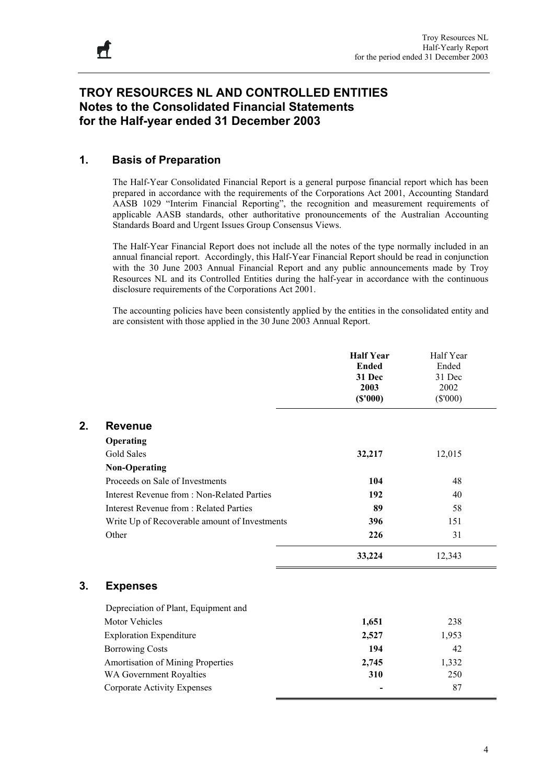## **TROY RESOURCES NL AND CONTROLLED ENTITIES Notes to the Consolidated Financial Statements for the Half-year ended 31 December 2003**

### **1. Basis of Preparation**

The Half-Year Consolidated Financial Report is a general purpose financial report which has been prepared in accordance with the requirements of the Corporations Act 2001, Accounting Standard AASB 1029 "Interim Financial Reporting", the recognition and measurement requirements of applicable AASB standards, other authoritative pronouncements of the Australian Accounting Standards Board and Urgent Issues Group Consensus Views.

The Half-Year Financial Report does not include all the notes of the type normally included in an annual financial report. Accordingly, this Half-Year Financial Report should be read in conjunction with the 30 June 2003 Annual Financial Report and any public announcements made by Troy Resources NL and its Controlled Entities during the half-year in accordance with the continuous disclosure requirements of the Corporations Act 2001.

The accounting policies have been consistently applied by the entities in the consolidated entity and are consistent with those applied in the 30 June 2003 Annual Report.

|    |                                               | <b>Half Year</b><br><b>Ended</b><br>31 Dec<br>2003<br>(S'000) | Half Year<br>Ended<br>31 Dec<br>2002<br>$(\$'000)$ |
|----|-----------------------------------------------|---------------------------------------------------------------|----------------------------------------------------|
| 2. | <b>Revenue</b>                                |                                                               |                                                    |
|    | Operating                                     |                                                               |                                                    |
|    | <b>Gold Sales</b>                             | 32,217                                                        | 12,015                                             |
|    | <b>Non-Operating</b>                          |                                                               |                                                    |
|    | Proceeds on Sale of Investments               | 104                                                           | 48                                                 |
|    | Interest Revenue from : Non-Related Parties   | 192                                                           | 40                                                 |
|    | <b>Interest Revenue from: Related Parties</b> | 89                                                            | 58                                                 |
|    | Write Up of Recoverable amount of Investments | 396                                                           | 151                                                |
|    | Other                                         | 226                                                           | 31                                                 |
|    |                                               | 33,224                                                        | 12,343                                             |
| 3. | <b>Expenses</b>                               |                                                               |                                                    |
|    | Depreciation of Plant, Equipment and          |                                                               |                                                    |
|    | <b>Motor Vehicles</b>                         | 1,651                                                         | 238                                                |
|    | <b>Exploration Expenditure</b>                | 2,527                                                         | 1,953                                              |
|    | <b>Borrowing Costs</b>                        | 194                                                           | 42                                                 |
|    | Amortisation of Mining Properties             | 2,745                                                         | 1,332                                              |
|    | WA Government Royalties                       | 310                                                           | 250                                                |
|    | <b>Corporate Activity Expenses</b>            |                                                               | 87                                                 |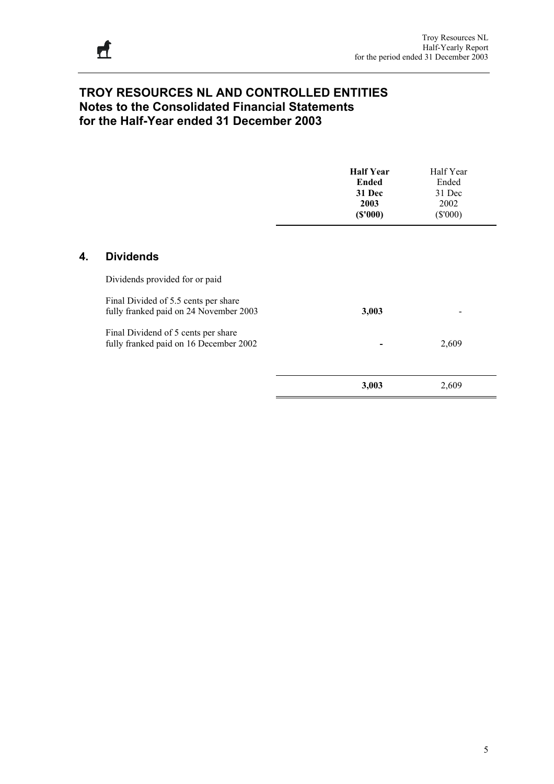## **TROY RESOURCES NL AND CONTROLLED ENTITIES Notes to the Consolidated Financial Statements for the Half-Year ended 31 December 2003**

|    |                                                                                | <b>Half Year</b><br><b>Ended</b><br>31 Dec<br>2003<br>(S'000) | Half Year<br>Ended<br>31 Dec<br>2002<br>$(\$'000)$ |
|----|--------------------------------------------------------------------------------|---------------------------------------------------------------|----------------------------------------------------|
| 4. | <b>Dividends</b>                                                               |                                                               |                                                    |
|    | Dividends provided for or paid                                                 |                                                               |                                                    |
|    | Final Divided of 5.5 cents per share<br>fully franked paid on 24 November 2003 | 3,003                                                         |                                                    |
|    | Final Dividend of 5 cents per share<br>fully franked paid on 16 December 2002  |                                                               | 2,609                                              |
|    |                                                                                | 3,003                                                         | 2,609                                              |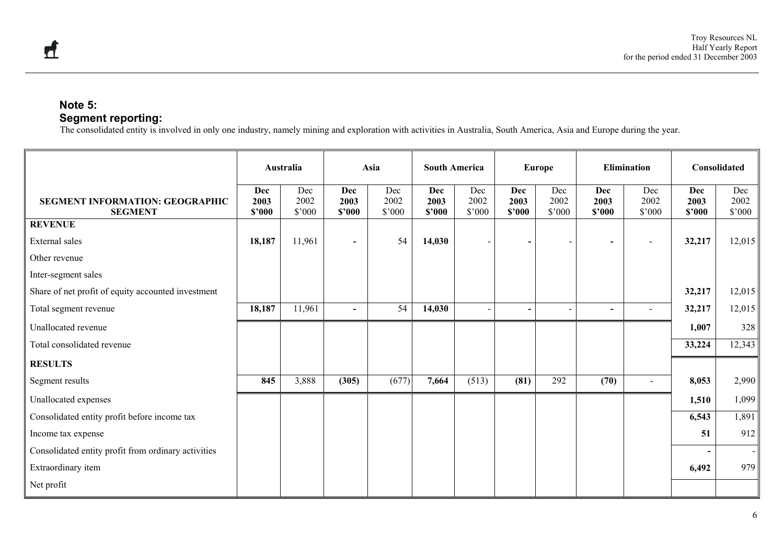### **Note 5: Segment reporting:**

The consolidated entity is involved in only one industry, namely mining and exploration with activities in Australia, South America, Asia and Europe during the year.

|                                                          |                       | Australia                     | Asia                         |                       | <b>South America</b>  |                       | <b>Europe</b>            |                       | <b>Elimination</b>    |                       | Consolidated          |                               |
|----------------------------------------------------------|-----------------------|-------------------------------|------------------------------|-----------------------|-----------------------|-----------------------|--------------------------|-----------------------|-----------------------|-----------------------|-----------------------|-------------------------------|
| <b>SEGMENT INFORMATION: GEOGRAPHIC</b><br><b>SEGMENT</b> | Dec<br>2003<br>\$2000 | Dec<br>2002<br>$$^{\circ}000$ | <b>Dec</b><br>2003<br>\$2000 | Dec<br>2002<br>\$'000 | Dec<br>2003<br>\$3000 | Dec<br>2002<br>\$'000 | Dec<br>2003<br>\$2000    | Dec<br>2002<br>\$3000 | Dec<br>2003<br>\$2000 | Dec<br>2002<br>\$'000 | Dec<br>2003<br>\$2000 | Dec<br>2002<br>$$^{\circ}000$ |
| <b>REVENUE</b>                                           |                       |                               |                              |                       |                       |                       |                          |                       |                       |                       |                       |                               |
| External sales                                           | 18,187                | 11,961                        | $\overline{\phantom{a}}$     | 54                    | 14,030                |                       |                          |                       | $\blacksquare$        |                       | 32,217                | 12,015                        |
| Other revenue                                            |                       |                               |                              |                       |                       |                       |                          |                       |                       |                       |                       |                               |
| Inter-segment sales                                      |                       |                               |                              |                       |                       |                       |                          |                       |                       |                       |                       |                               |
| Share of net profit of equity accounted investment       |                       |                               |                              |                       |                       |                       |                          |                       |                       |                       | 32,217                | 12,015                        |
| Total segment revenue                                    | 18,187                | 11,961                        | $\blacksquare$               | 54                    | 14,030                |                       | $\overline{\phantom{0}}$ |                       | $\blacksquare$        | $\sim$                | 32,217                | 12,015                        |
| Unallocated revenue                                      |                       |                               |                              |                       |                       |                       |                          |                       |                       |                       | 1,007                 | 328                           |
| Total consolidated revenue                               |                       |                               |                              |                       |                       |                       |                          |                       |                       |                       | 33,224                | 12,343                        |
| <b>RESULTS</b>                                           |                       |                               |                              |                       |                       |                       |                          |                       |                       |                       |                       |                               |
| Segment results                                          | 845                   | 3,888                         | (305)                        | (677)                 | 7,664                 | (513)                 | (81)                     | 292                   | (70)                  | $\sim$                | 8,053                 | 2,990                         |
| Unallocated expenses                                     |                       |                               |                              |                       |                       |                       |                          |                       |                       |                       | 1,510                 | 1,099                         |
| Consolidated entity profit before income tax             |                       |                               |                              |                       |                       |                       |                          |                       |                       |                       | 6,543                 | 1,891                         |
| Income tax expense                                       |                       |                               |                              |                       |                       |                       |                          |                       |                       |                       | 51                    | 912                           |
| Consolidated entity profit from ordinary activities      |                       |                               |                              |                       |                       |                       |                          |                       |                       |                       |                       | $\sim$                        |
| Extraordinary item                                       |                       |                               |                              |                       |                       |                       |                          |                       |                       |                       | 6,492                 | 979                           |
| Net profit                                               |                       |                               |                              |                       |                       |                       |                          |                       |                       |                       |                       |                               |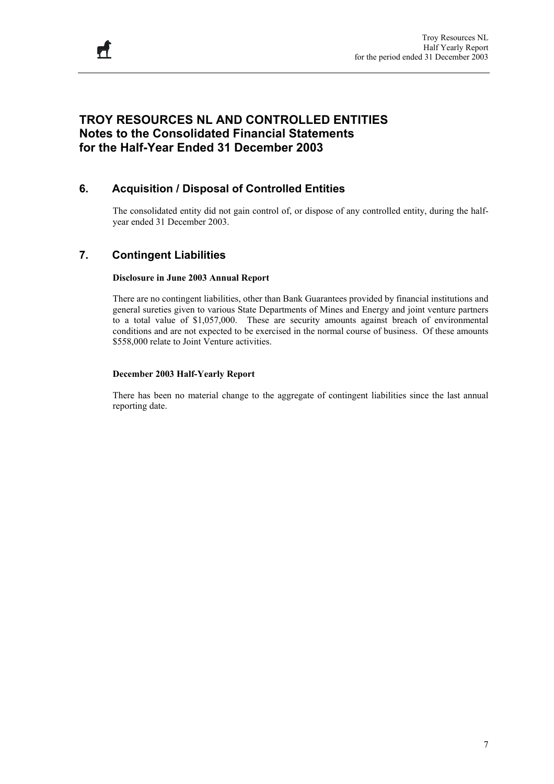## **TROY RESOURCES NL AND CONTROLLED ENTITIES Notes to the Consolidated Financial Statements for the Half-Year Ended 31 December 2003**

## **6. Acquisition / Disposal of Controlled Entities**

The consolidated entity did not gain control of, or dispose of any controlled entity, during the halfyear ended 31 December 2003.

### **7. Contingent Liabilities**

#### **Disclosure in June 2003 Annual Report**

There are no contingent liabilities, other than Bank Guarantees provided by financial institutions and general sureties given to various State Departments of Mines and Energy and joint venture partners to a total value of \$1,057,000. These are security amounts against breach of environmental conditions and are not expected to be exercised in the normal course of business. Of these amounts \$558,000 relate to Joint Venture activities.

#### **December 2003 Half-Yearly Report**

There has been no material change to the aggregate of contingent liabilities since the last annual reporting date.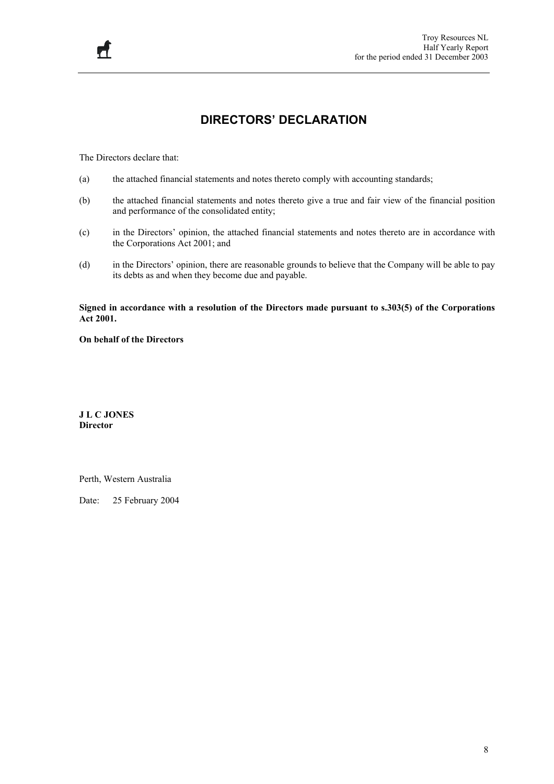## **DIRECTORS' DECLARATION**

The Directors declare that:

 $\mathcal{F}$ 

- (a) the attached financial statements and notes thereto comply with accounting standards;
- (b) the attached financial statements and notes thereto give a true and fair view of the financial position and performance of the consolidated entity;
- (c) in the Directors' opinion, the attached financial statements and notes thereto are in accordance with the Corporations Act 2001; and
- (d) in the Directors' opinion, there are reasonable grounds to believe that the Company will be able to pay its debts as and when they become due and payable.

**Signed in accordance with a resolution of the Directors made pursuant to s.303(5) of the Corporations Act 2001.** 

**On behalf of the Directors** 

**J L C JONES Director** 

Perth, Western Australia

Date: 25 February 2004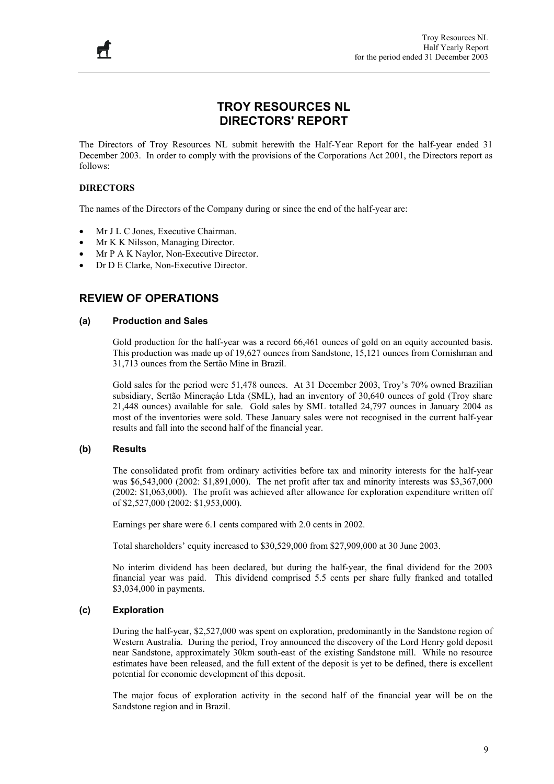## **TROY RESOURCES NL DIRECTORS' REPORT**

The Directors of Troy Resources NL submit herewith the Half-Year Report for the half-year ended 31 December 2003. In order to comply with the provisions of the Corporations Act 2001, the Directors report as follows:

#### **DIRECTORS**

The names of the Directors of the Company during or since the end of the half-year are:

- Mr J L C Jones, Executive Chairman.
- Mr K K Nilsson, Managing Director.
- Mr P A K Naylor, Non-Executive Director.
- Dr D E Clarke, Non-Executive Director.

#### **REVIEW OF OPERATIONS**

#### **(a) Production and Sales**

Gold production for the half-year was a record 66,461 ounces of gold on an equity accounted basis. This production was made up of 19,627 ounces from Sandstone, 15,121 ounces from Cornishman and 31,713 ounces from the Sertão Mine in Brazil.

Gold sales for the period were 51,478 ounces. At 31 December 2003, Troy's 70% owned Brazilian subsidiary, Sertão Mineraçáo Ltda (SML), had an inventory of 30,640 ounces of gold (Troy share 21,448 ounces) available for sale. Gold sales by SML totalled 24,797 ounces in January 2004 as most of the inventories were sold. These January sales were not recognised in the current half-year results and fall into the second half of the financial year.

#### **(b) Results**

The consolidated profit from ordinary activities before tax and minority interests for the half-year was \$6,543,000 (2002: \$1,891,000). The net profit after tax and minority interests was \$3,367,000 (2002: \$1,063,000). The profit was achieved after allowance for exploration expenditure written off of \$2,527,000 (2002: \$1,953,000).

Earnings per share were 6.1 cents compared with 2.0 cents in 2002.

Total shareholders' equity increased to \$30,529,000 from \$27,909,000 at 30 June 2003.

No interim dividend has been declared, but during the half-year, the final dividend for the 2003 financial year was paid. This dividend comprised 5.5 cents per share fully franked and totalled \$3,034,000 in payments.

#### **(c) Exploration**

During the half-year, \$2,527,000 was spent on exploration, predominantly in the Sandstone region of Western Australia. During the period, Troy announced the discovery of the Lord Henry gold deposit near Sandstone, approximately 30km south-east of the existing Sandstone mill. While no resource estimates have been released, and the full extent of the deposit is yet to be defined, there is excellent potential for economic development of this deposit.

The major focus of exploration activity in the second half of the financial year will be on the Sandstone region and in Brazil.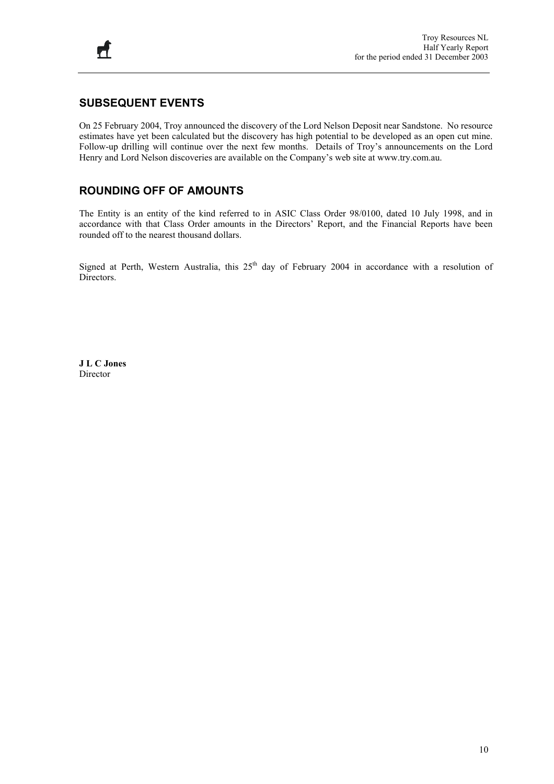## **SUBSEQUENT EVENTS**

On 25 February 2004, Troy announced the discovery of the Lord Nelson Deposit near Sandstone. No resource estimates have yet been calculated but the discovery has high potential to be developed as an open cut mine. Follow-up drilling will continue over the next few months. Details of Troy's announcements on the Lord Henry and Lord Nelson discoveries are available on the Company's web site at www.try.com.au.

## **ROUNDING OFF OF AMOUNTS**

The Entity is an entity of the kind referred to in ASIC Class Order 98/0100, dated 10 July 1998, and in accordance with that Class Order amounts in the Directors' Report, and the Financial Reports have been rounded off to the nearest thousand dollars.

Signed at Perth, Western Australia, this 25<sup>th</sup> day of February 2004 in accordance with a resolution of Directors.

**J L C Jones**  Director